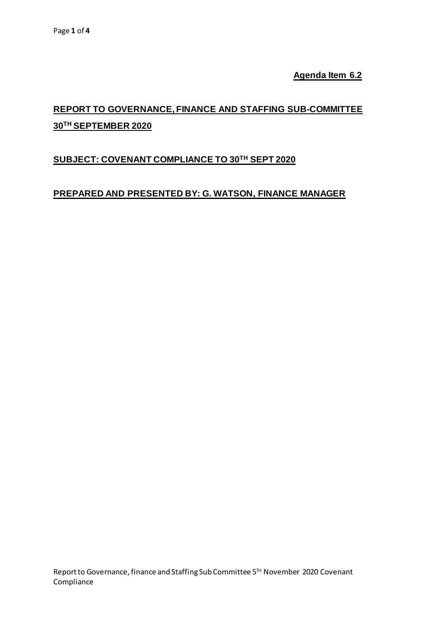**Agenda Item 6.2**

# **REPORT TO GOVERNANCE, FINANCE AND STAFFING SUB-COMMITTEE 30TH SEPTEMBER 2020**

## **SUBJECT: COVENANT COMPLIANCE TO 30 TH SEPT 2020**

## **PREPARED AND PRESENTED BY: G. WATSON, FINANCE MANAGER**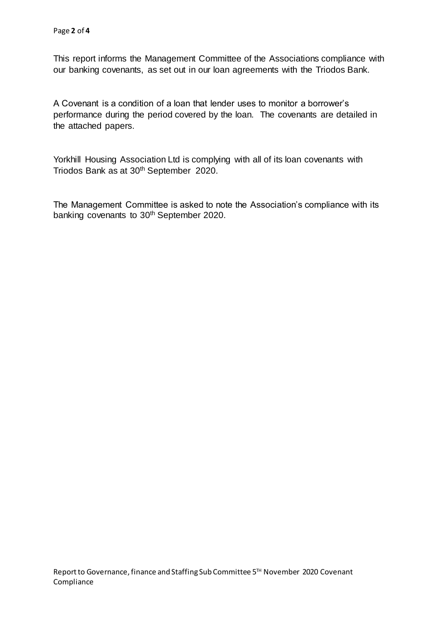This report informs the Management Committee of the Associations compliance with our banking covenants, as set out in our loan agreements with the Triodos Bank.

A Covenant is a condition of a loan that lender uses to monitor a borrower's performance during the period covered by the loan. The covenants are detailed in the attached papers.

Yorkhill Housing Association Ltd is complying with all of its loan covenants with Triodos Bank as at 30<sup>th</sup> September 2020.

The Management Committee is asked to note the Association's compliance with its banking covenants to 30<sup>th</sup> September 2020.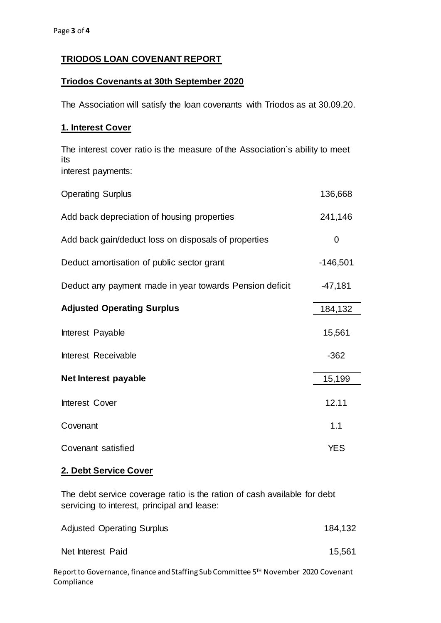### **TRIODOS LOAN COVENANT REPORT**

#### **Triodos Covenants at 30th September 2020**

The Association will satisfy the loan covenants with Triodos as at 30.09.20.

#### **1. Interest Cover**

The interest cover ratio is the measure of the Association`s ability to meet its interest payments:

| <b>Operating Surplus</b>                                | 136,668    |
|---------------------------------------------------------|------------|
| Add back depreciation of housing properties             | 241,146    |
| Add back gain/deduct loss on disposals of properties    | 0          |
| Deduct amortisation of public sector grant              | $-146,501$ |
| Deduct any payment made in year towards Pension deficit | $-47,181$  |
| <b>Adjusted Operating Surplus</b>                       | 184,132    |
| Interest Payable                                        | 15,561     |
| Interest Receivable                                     | $-362$     |
| Net Interest payable                                    | 15,199     |
| Interest Cover                                          | 12.11      |
| Covenant                                                | 1.1        |
| Covenant satisfied                                      | <b>YES</b> |

#### **2. Debt Service Cover**

The debt service coverage ratio is the ration of cash available for debt servicing to interest, principal and lease:

| <b>Adjusted Operating Surplus</b> | 184,132 |
|-----------------------------------|---------|
| Net Interest Paid                 | 15,561  |

Report to Governance, finance and Staffing Sub Committee 5<sup>™</sup> November 2020 Covenant Compliance